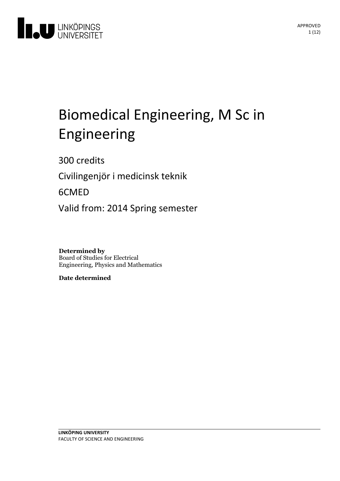

# Biomedical Engineering, M Sc in Engineering

300 credits

Civilingenjör i medicinsk teknik

6CMED

Valid from: 2014 Spring semester

**Determined by** Board of Studies for Electrical Engineering, Physics and Mathematics

**Date determined**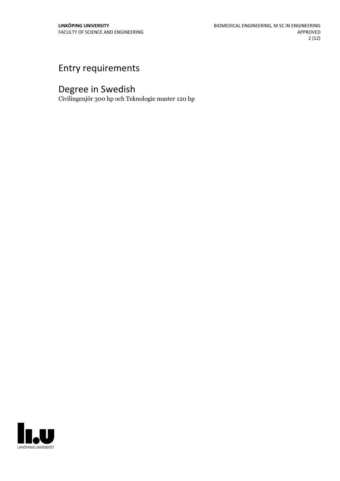# Entry requirements

# Degree in Swedish

Civilingenjör 300 hp och Teknologie master 120 hp

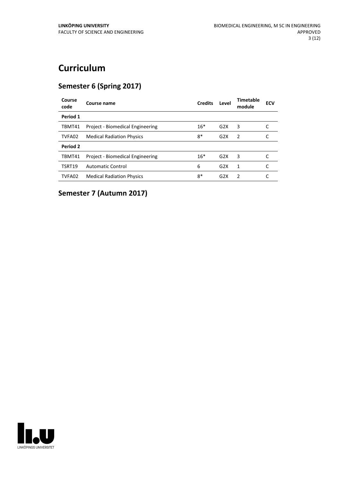# **Curriculum**

# **Semester 6 (Spring 2017)**

| Course name                      | <b>Credits</b> | Level | Timetable<br>module | <b>ECV</b> |
|----------------------------------|----------------|-------|---------------------|------------|
|                                  |                |       |                     |            |
| Project - Biomedical Engineering | $16*$          | G2X   | 3                   |            |
| <b>Medical Radiation Physics</b> | $8*$           | G2X   | 2                   |            |
|                                  |                |       |                     |            |
| Project - Biomedical Engineering | $16*$          | G2X   | 3                   |            |
| <b>Automatic Control</b>         | 6              | G2X   | 1                   |            |
| <b>Medical Radiation Physics</b> | $8*$           | G2X   | $\mathcal{P}$       |            |
|                                  |                |       |                     |            |

# **Semester 7 (Autumn 2017)**

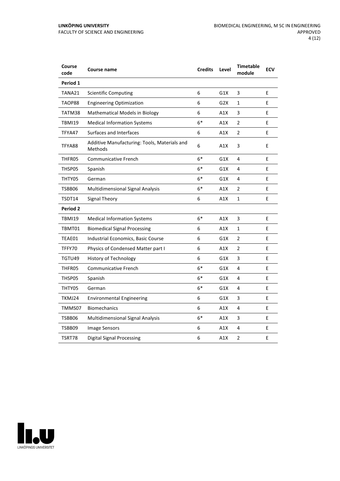| Course<br>code | <b>Course name</b>                                      | <b>Credits</b> | Level | <b>Timetable</b><br>module | <b>ECV</b> |
|----------------|---------------------------------------------------------|----------------|-------|----------------------------|------------|
| Period 1       |                                                         |                |       |                            |            |
| TANA21         | <b>Scientific Computing</b>                             | 6              | G1X   | 3                          | E          |
| TAOP88         | <b>Engineering Optimization</b>                         | 6              | G2X   | $\mathbf{1}$               | E          |
| TATM38         | <b>Mathematical Models in Biology</b>                   | 6              | A1X   | 3                          | E          |
| <b>TBMI19</b>  | <b>Medical Information Systems</b>                      | $6*$           | A1X   | $\overline{2}$             | E          |
| TFYA47         | Surfaces and Interfaces                                 | 6              | A1X   | 2                          | E          |
| TFYA88         | Additive Manufacturing: Tools, Materials and<br>Methods | 6              | A1X   | 3                          | E          |
| THFR05         | <b>Communicative French</b>                             | $6*$           | G1X   | 4                          | E          |
| THSP05         | Spanish                                                 | $6*$           | G1X   | 4                          | E          |
| THTY05         | German                                                  | $6*$           | G1X   | 4                          | E          |
| TSBB06         | Multidimensional Signal Analysis                        | $6*$           | A1X   | 2                          | E          |
| TSDT14         | <b>Signal Theory</b>                                    | 6              | A1X   | $\mathbf{1}$               | E          |
| Period 2       |                                                         |                |       |                            |            |
| <b>TBMI19</b>  | <b>Medical Information Systems</b>                      | $6*$           | A1X   | 3                          | E          |
| TBMT01         | <b>Biomedical Signal Processing</b>                     | 6              | A1X   | 1                          | E          |
| TEAE01         | Industrial Economics, Basic Course                      | 6              | G1X   | $\overline{2}$             | E          |
| TFFY70         | Physics of Condensed Matter part I                      | 6              | A1X   | 2                          | E          |
| TGTU49         | History of Technology                                   | 6              | G1X   | 3                          | E          |
| THFR05         | <b>Communicative French</b>                             | $6*$           | G1X   | 4                          | E          |
| THSP05         | Spanish                                                 | $6*$           | G1X   | 4                          | E          |
| THTY05         | German                                                  | $6*$           | G1X   | 4                          | E          |
| TKMJ24         | <b>Environmental Engineering</b>                        | 6              | G1X   | 3                          | E          |
| TMMS07         | <b>Biomechanics</b>                                     | 6              | A1X   | 4                          | E          |
| TSBB06         | Multidimensional Signal Analysis                        | $6*$           | A1X   | 3                          | E          |
| TSBB09         | <b>Image Sensors</b>                                    | 6              | A1X   | 4                          | E          |
| TSRT78         | <b>Digital Signal Processing</b>                        | 6              | A1X   | 2                          | E          |

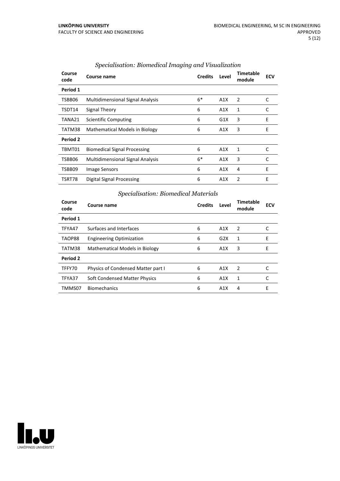| Course<br>code | Course name                             | <b>Credits</b> | Level | Timetable<br>module | <b>ECV</b> |
|----------------|-----------------------------------------|----------------|-------|---------------------|------------|
| Period 1       |                                         |                |       |                     |            |
| TSBB06         | <b>Multidimensional Signal Analysis</b> | $6*$           | A1X   | 2                   | C          |
| TSDT14         | Signal Theory                           | 6              | A1X   | 1                   | C          |
| TANA21         | <b>Scientific Computing</b>             | 6              | G1X   | 3                   | E          |
| TATM38         | <b>Mathematical Models in Biology</b>   | 6              | A1X   | 3                   | E          |
| Period 2       |                                         |                |       |                     |            |
| TBMT01         | <b>Biomedical Signal Processing</b>     | 6              | A1X   | 1                   | C          |
| TSBB06         | <b>Multidimensional Signal Analysis</b> | $6*$           | A1X   | 3                   | C          |
| TSBB09         | <b>Image Sensors</b>                    | 6              | A1X   | 4                   | Ε          |
| TSRT78         | Digital Signal Processing               | 6              | A1X   | 2                   | E          |

### *Specialisation: Biomedical Imaging and Visualization*

# *Specialisation: Biomedical Materials*

| Course<br>code | Course name                        | <b>Credits</b> | Level            | Timetable<br>module | <b>ECV</b> |
|----------------|------------------------------------|----------------|------------------|---------------------|------------|
| Period 1       |                                    |                |                  |                     |            |
| TFYA47         | Surfaces and Interfaces            | 6              | A1X              | 2                   |            |
| TAOP88         | <b>Engineering Optimization</b>    | 6              | G2X              | 1                   | E          |
| TATM38         | Mathematical Models in Biology     | 6              | A1X              | 3                   | Е          |
| Period 2       |                                    |                |                  |                     |            |
| TFFY70         | Physics of Condensed Matter part I | 6              | A <sub>1</sub> X | $\mathcal{P}$       |            |
| TFYA37         | Soft Condensed Matter Physics      | 6              | A1X              | 1                   |            |
| TMMS07         | <b>Biomechanics</b>                | 6              | A1X              | 4                   | F          |

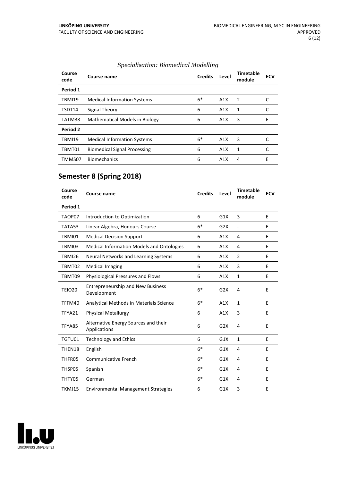| Course<br>code | Course name                         | <b>Credits</b> | Level | <b>Timetable</b><br>module | <b>ECV</b> |
|----------------|-------------------------------------|----------------|-------|----------------------------|------------|
| Period 1       |                                     |                |       |                            |            |
| <b>TBMI19</b>  | <b>Medical Information Systems</b>  | $6*$           | A1X   | 2                          |            |
| TSDT14         | Signal Theory                       | 6              | A1X   | 1                          |            |
| TATM38         | Mathematical Models in Biology      | 6              | A1X   | 3                          | E          |
| Period 2       |                                     |                |       |                            |            |
| <b>TBMI19</b>  | <b>Medical Information Systems</b>  | $6*$           | A1X   | 3                          |            |
| TBMT01         | <b>Biomedical Signal Processing</b> | 6              | A1X   | 1                          |            |
| TMMS07         | <b>Biomechanics</b>                 | 6              | A1X   | 4                          | E          |

## *Specialisation: Biomedical Modelling*

# **Semester 8 (Spring 2018)**

| Course<br>code | Course name                                             | <b>Credits</b> | Level | <b>Timetable</b><br>module   | <b>ECV</b> |
|----------------|---------------------------------------------------------|----------------|-------|------------------------------|------------|
| Period 1       |                                                         |                |       |                              |            |
| TAOP07         | Introduction to Optimization                            | 6              | G1X   | 3                            | E          |
| TATA53         | Linear Algebra, Honours Course                          | $6*$           | G2X   | $\qquad \qquad \blacksquare$ | Е          |
| TBMI01         | <b>Medical Decision Support</b>                         | 6              | A1X   | 4                            | E          |
| TBMI03         | <b>Medical Information Models and Ontologies</b>        | 6              | A1X   | 4                            | E          |
| <b>TBMI26</b>  | Neural Networks and Learning Systems                    | 6              | A1X   | $\overline{2}$               | E          |
| TBMT02         | <b>Medical Imaging</b>                                  | 6              | A1X   | 3                            | E          |
| TBMT09         | Physiological Pressures and Flows                       | 6              | A1X   | $\mathbf{1}$                 | E          |
| <b>TEIO20</b>  | <b>Entrepreneurship and New Business</b><br>Development | $6*$           | G2X   | $\overline{4}$               | E          |
| TFFM40         | Analytical Methods in Materials Science                 | $6*$           | A1X   | $\mathbf{1}$                 | E          |
| TFYA21         | <b>Physical Metallurgy</b>                              | 6              | A1X   | 3                            | E          |
| TFYA85         | Alternative Energy Sources and their<br>Applications    | 6              | G2X   | 4                            | E          |
| TGTU01         | <b>Technology and Ethics</b>                            | 6              | G1X   | $\mathbf{1}$                 | E          |
| THEN18         | English                                                 | $6*$           | G1X   | 4                            | E          |
| THFR05         | <b>Communicative French</b>                             | $6*$           | G1X   | 4                            | E          |
| THSP05         | Spanish                                                 | $6*$           | G1X   | 4                            | E          |
| THTY05         | German                                                  | $6*$           | G1X   | 4                            | E          |
| TKMJ15         | <b>Environmental Management Strategies</b>              | 6              | G1X   | 3                            | E          |

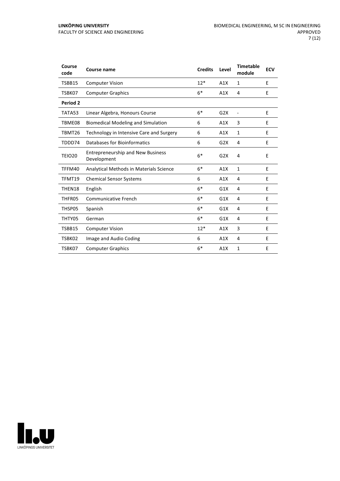| Course<br>code | Course name                                             | <b>Credits</b> | Level | <b>Timetable</b><br>module | <b>ECV</b> |
|----------------|---------------------------------------------------------|----------------|-------|----------------------------|------------|
| TSBB15         | <b>Computer Vision</b>                                  | $12*$          | A1X   | 1                          | E          |
| TSBK07         | <b>Computer Graphics</b>                                | $6*$           | A1X   | 4                          | E          |
| Period 2       |                                                         |                |       |                            |            |
| TATA53         | Linear Algebra, Honours Course                          | $6*$           | G2X   | $\overline{\phantom{a}}$   | E          |
| TBME08         | <b>Biomedical Modeling and Simulation</b>               | 6              | A1X   | 3                          | E          |
| TBMT26         | Technology in Intensive Care and Surgery                | 6              | A1X   | 1                          | Е          |
| TDDD74         | Databases for Bioinformatics                            | 6              | G2X   | 4                          | E          |
| <b>TEIO20</b>  | <b>Entrepreneurship and New Business</b><br>Development | $6*$           | G2X   | 4                          | E          |
| TFFM40         | Analytical Methods in Materials Science                 | $6*$           | A1X   | $\mathbf{1}$               | E          |
| TFMT19         | <b>Chemical Sensor Systems</b>                          | 6              | A1X   | 4                          | E          |
| THEN18         | English                                                 | $6*$           | G1X   | 4                          | E          |
| THFR05         | <b>Communicative French</b>                             | $6*$           | G1X   | 4                          | E          |
| THSP05         | Spanish                                                 | $6*$           | G1X   | 4                          | E          |
| THTY05         | German                                                  | $6*$           | G1X   | 4                          | Ε          |
| TSBB15         | <b>Computer Vision</b>                                  | $12*$          | A1X   | 3                          | E          |
| TSBK02         | Image and Audio Coding                                  | 6              | A1X   | 4                          | E          |
| TSBK07         | <b>Computer Graphics</b>                                | $6*$           | A1X   | 1                          | E          |

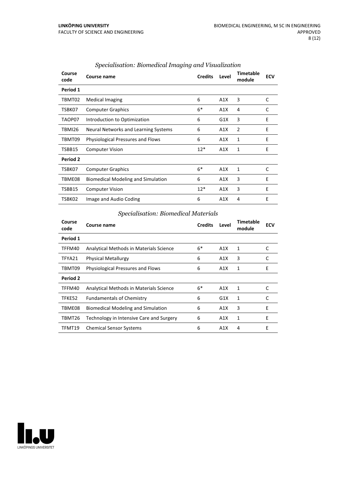| Course<br>code | Course name                               | <b>Credits</b> | Level | <b>Timetable</b><br>module | <b>ECV</b> |
|----------------|-------------------------------------------|----------------|-------|----------------------------|------------|
| Period 1       |                                           |                |       |                            |            |
| TBMT02         | <b>Medical Imaging</b>                    | 6              | A1X   | 3                          | C          |
| TSBK07         | <b>Computer Graphics</b>                  | $6*$           | A1X   | 4                          | C          |
| TAOP07         | Introduction to Optimization              | 6              | G1X   | 3                          | Ε          |
| TBMI26         | Neural Networks and Learning Systems      | 6              | A1X   | $\overline{2}$             | E          |
| TBMT09         | <b>Physiological Pressures and Flows</b>  | 6              | A1X   | 1                          | E          |
| TSBB15         | <b>Computer Vision</b>                    | $12*$          | A1X   | 1                          | E          |
| Period 2       |                                           |                |       |                            |            |
| TSBK07         | <b>Computer Graphics</b>                  | $6*$           | A1X   | 1                          | C          |
| TBME08         | <b>Biomedical Modeling and Simulation</b> | 6              | A1X   | 3                          | E          |
| TSBB15         | <b>Computer Vision</b>                    | $12*$          | A1X   | 3                          | E          |
| TSBK02         | Image and Audio Coding                    | 6              | A1X   | 4                          | E          |

### *Specialisation: Biomedical Imaging and Visualization*

## *Specialisation: Biomedical Materials*

| Course<br>code | Course name                               | <b>Credits</b> | Level | Timetable<br>module | <b>ECV</b> |
|----------------|-------------------------------------------|----------------|-------|---------------------|------------|
| Period 1       |                                           |                |       |                     |            |
| TFFM40         | Analytical Methods in Materials Science   | $6*$           | A1X   | 1                   | C          |
| TFYA21         | <b>Physical Metallurgy</b>                | 6              | A1X   | 3                   | C          |
| TBMT09         | <b>Physiological Pressures and Flows</b>  | 6              | A1X   | 1                   | E          |
| Period 2       |                                           |                |       |                     |            |
| TFFM40         | Analytical Methods in Materials Science   | $6*$           | A1X   | 1                   | C          |
| TFKE52         | <b>Fundamentals of Chemistry</b>          | 6              | G1X   | 1                   | C          |
| TBME08         | <b>Biomedical Modeling and Simulation</b> | 6              | A1X   | 3                   | F          |
| TBMT26         | Technology in Intensive Care and Surgery  | 6              | A1X   | 1                   | E          |
| TFMT19         | <b>Chemical Sensor Systems</b>            | 6              | A1X   | 4                   | E          |

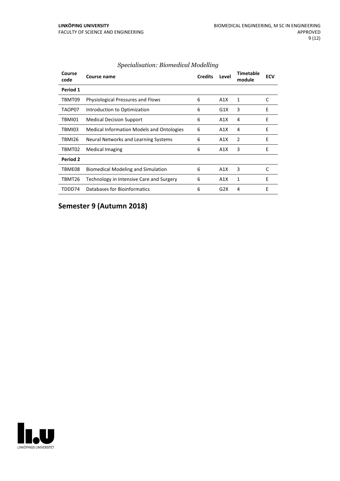| Course<br>code | Course name                                      | <b>Credits</b> | Level | <b>Timetable</b><br>module | <b>ECV</b> |
|----------------|--------------------------------------------------|----------------|-------|----------------------------|------------|
| Period 1       |                                                  |                |       |                            |            |
| TBMT09         | Physiological Pressures and Flows                | 6              | A1X   | 1                          | C          |
| TAOP07         | Introduction to Optimization                     | 6              | G1X   | 3                          | Е          |
| TBMI01         | <b>Medical Decision Support</b>                  | 6              | A1X   | 4                          | E          |
| TBMI03         | <b>Medical Information Models and Ontologies</b> | 6              | A1X   | 4                          | Е          |
| TBMI26         | Neural Networks and Learning Systems             | 6              | A1X   | 2                          | E          |
| TBMT02         | <b>Medical Imaging</b>                           | 6              | A1X   | 3                          | E          |
| Period 2       |                                                  |                |       |                            |            |
| TBME08         | <b>Biomedical Modeling and Simulation</b>        | 6              | A1X   | 3                          | C          |
| TBMT26         | Technology in Intensive Care and Surgery         | 6              | A1X   | 1                          | E          |
| TDDD74         | Databases for Bioinformatics                     | 6              | G2X   | 4                          | E          |

### *Specialisation: Biomedical Modelling*

**Semester 9 (Autumn 2018)**

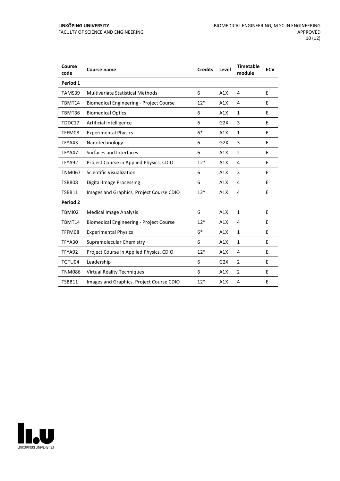| Course<br>code | Course name                                    | <b>Credits</b> | Level | <b>Timetable</b><br>module | <b>ECV</b> |
|----------------|------------------------------------------------|----------------|-------|----------------------------|------------|
| Period 1       |                                                |                |       |                            |            |
| TAMS39         | <b>Multivariate Statistical Methods</b>        | 6              | A1X   | 4                          | E          |
| TBMT14         | <b>Biomedical Engineering - Project Course</b> | $12*$          | A1X   | 4                          | E          |
| TBMT36         | <b>Biomedical Optics</b>                       | 6              | A1X   | $\mathbf{1}$               | E          |
| TDDC17         | Artificial Intelligence                        | 6              | G2X   | 3                          | E          |
| TFFM08         | <b>Experimental Physics</b>                    | $6*$           | A1X   | $\mathbf{1}$               | E          |
| TFYA43         | Nanotechnology                                 | 6              | G2X   | 3                          | E          |
| TFYA47         | Surfaces and Interfaces                        | 6              | A1X   | $\overline{2}$             | E          |
| TFYA92         | Project Course in Applied Physics, CDIO        | $12*$          | A1X   | 4                          | E          |
| <b>TNM067</b>  | Scientific Visualization                       | 6              | A1X   | 3                          | E          |
| TSBB08         | Digital Image Processing                       | 6              | A1X   | 4                          | E          |
| TSBB11         | Images and Graphics, Project Course CDIO       | $12*$          | A1X   | 4                          | E          |
| Period 2       |                                                |                |       |                            |            |
| TBMI02         | <b>Medical Image Analysis</b>                  | 6              | A1X   | $\mathbf{1}$               | E          |
| TBMT14         | <b>Biomedical Engineering - Project Course</b> | $12*$          | A1X   | 4                          | E          |
| TFFM08         | <b>Experimental Physics</b>                    | $6*$           | A1X   | $\mathbf{1}$               | E          |
| TFYA30         | Supramolecular Chemistry                       | 6              | A1X   | $\mathbf{1}$               | E          |
| TFYA92         | Project Course in Applied Physics, CDIO        | $12*$          | A1X   | 4                          | E          |
| TGTU04         | Leadership                                     | 6              | G2X   | $\overline{2}$             | E          |
| <b>TNM086</b>  | <b>Virtual Reality Techniques</b>              | 6              | A1X   | $\overline{2}$             | E          |
| TSBB11         | Images and Graphics, Project Course CDIO       | $12*$          | A1X   | $\overline{4}$             | E          |

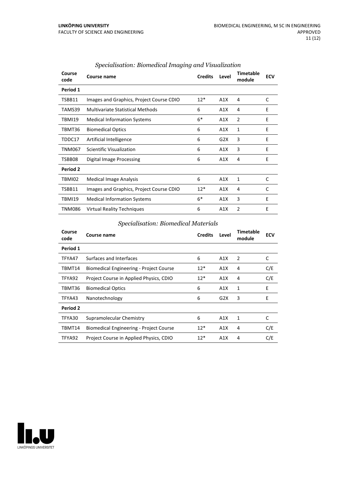| Course<br>code | Course name                              | <b>Credits</b> | Level | <b>Timetable</b><br>module | <b>ECV</b> |
|----------------|------------------------------------------|----------------|-------|----------------------------|------------|
| Period 1       |                                          |                |       |                            |            |
| TSBB11         | Images and Graphics, Project Course CDIO | $12*$          | A1X   | 4                          | C          |
| TAMS39         | <b>Multivariate Statistical Methods</b>  | 6              | A1X   | 4                          | E          |
| <b>TBMI19</b>  | <b>Medical Information Systems</b>       | $6*$           | A1X   | 2                          | E          |
| TBMT36         | <b>Biomedical Optics</b>                 | 6              | A1X   | 1                          | E          |
| TDDC17         | Artificial Intelligence                  | 6              | G2X   | 3                          | E          |
| TNM067         | Scientific Visualization                 | 6              | A1X   | 3                          | E          |
| TSBB08         | Digital Image Processing                 | 6              | A1X   | 4                          | E          |
| Period 2       |                                          |                |       |                            |            |
| TBMI02         | <b>Medical Image Analysis</b>            | 6              | A1X   | 1                          | C          |
| TSBB11         | Images and Graphics, Project Course CDIO | $12*$          | A1X   | 4                          | C          |
| TBMI19         | <b>Medical Information Systems</b>       | $6*$           | A1X   | 3                          | E          |
| TNM086         | Virtual Reality Techniques               | 6              | A1X   | 2                          | E          |

### *Specialisation: Biomedical Imaging and Visualization*

## *Specialisation: Biomedical Materials*

| Course<br>code | <b>Course name</b>                             | <b>Credits</b> | Level | <b>Timetable</b><br>module | <b>ECV</b> |
|----------------|------------------------------------------------|----------------|-------|----------------------------|------------|
| Period 1       |                                                |                |       |                            |            |
| TFYA47         | Surfaces and Interfaces                        | 6              | A1X   | 2                          | C          |
| TBMT14         | <b>Biomedical Engineering - Project Course</b> | $12*$          | A1X   | 4                          | C/E        |
| TFYA92         | Project Course in Applied Physics, CDIO        | $12*$          | A1X   | 4                          | C/E        |
| TBMT36         | <b>Biomedical Optics</b>                       | 6              | A1X   | 1                          | E          |
| TFYA43         | Nanotechnology                                 | 6              | G2X   | 3                          | E          |
| Period 2       |                                                |                |       |                            |            |
| TFYA30         | Supramolecular Chemistry                       | 6              | A1X   | 1                          | C          |
| TBMT14         | <b>Biomedical Engineering - Project Course</b> | $12*$          | A1X   | 4                          | C/E        |
| TFYA92         | Project Course in Applied Physics, CDIO        | $12*$          | A1X   | 4                          | C/E        |